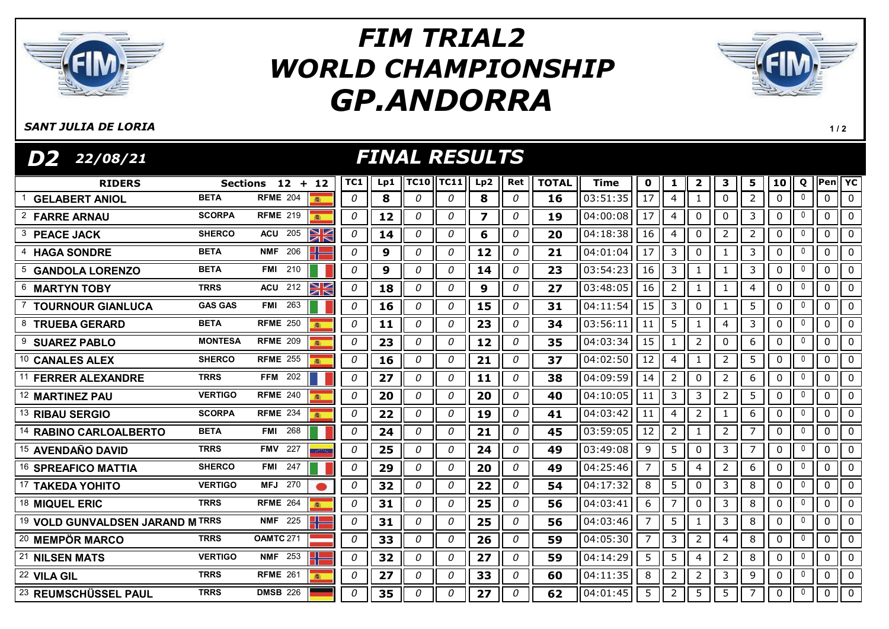

# GP.ANDORRA FIM TRIAL2 WORLD CHAMPIONSHIP



 $1/2$ 

#### SANT JULIA DE LORIA

FINAL RESULTS RIDERS Sections 12 + 12 ||TC1 || Lp1 ||TC10||TC11|| Lp2 || Ret || TOTAL || Time || 0 || 1 || 2 || 3 || 5 || 10 || Q ||Pen||YC D2 22/08/21 GELABERT ANIOL BETA RFME <sup>204</sup> 0 8 0 0 8 0 16 03:51:35 17 4 1 0 2 0 <sup>0</sup> 0 0

| <sup>2</sup> FARRE ARNAU         | <b>SCORPA</b>  | <b>RFME 219</b><br>本    |    | 0 | 12 | 0 | 0 | $\overline{\mathbf{z}}$ | 0 | 19 | 04:00:08 | 17             | $\overline{4}$ | 0              | $\mathbf 0$    | 3              | $\mathbf{0}$ | $\mathbf{0}$ | $\mathbf 0$ | $\mathbf 0$  |
|----------------------------------|----------------|-------------------------|----|---|----|---|---|-------------------------|---|----|----------|----------------|----------------|----------------|----------------|----------------|--------------|--------------|-------------|--------------|
| <b>PEACE JACK</b>                | <b>SHERCO</b>  | 205<br><b>ACU</b>       | XK | 0 | 14 | 0 | 0 | 6                       | 0 | 20 | 04:18:38 | 16             | 4              | 0              | $\overline{2}$ | $\overline{2}$ | 0            | $\mathbf 0$  | $\mathbf 0$ | $\Omega$     |
| <b>HAGA SONDRE</b>               | <b>BETA</b>    | 206<br><b>NMF</b>       |    | 0 | 9  | 0 | 0 | 12                      | 0 | 21 | 04:01:04 | 17             | 3              | 0              | 1              | 3              | 0            | 0            | 0           | $\Omega$     |
| 5 GANDOLA LORENZO                | <b>BETA</b>    | 210<br>FMI              |    | 0 | 9  | 0 | 0 | 14                      | 0 | 23 | 03:54:23 | 16             | 3              |                |                | 3              | 0            | $\mathbf{0}$ | $\mathbf 0$ | $\mathbf{0}$ |
| 6 MARTYN TOBY                    | <b>TRRS</b>    | XK<br>212<br><b>ACU</b> |    | 0 | 18 | 0 | 0 | 9                       | 0 | 27 | 03:48:05 | 16             | 2              |                |                | 4              | 0            | 0            | 0           | $\mathbf{0}$ |
| <b>TOURNOUR GIANLUCA</b>         | <b>GAS GAS</b> | 263<br><b>FMI</b>       |    | 0 | 16 | 0 | 0 | 15                      | 0 | 31 | 04:11:54 | 15             | 3              | 0              | 1              | 5              | 0            | 0            | $\mathbf 0$ | $\Omega$     |
| 8 TRUEBA GERARD                  | <b>BETA</b>    | <b>RFME 250</b><br>高    |    | 0 | 11 | 0 | 0 | 23                      | 0 | 34 | 03:56:11 | 11             | 5              |                | 4              | 3              | 0            | $\mathbf 0$  | $\mathbf 0$ | $\mathbf{0}$ |
| 9<br><b>SUAREZ PABLO</b>         | <b>MONTESA</b> | <b>RFME 209</b>         |    | 0 | 23 | 0 | 0 | 12                      | 0 | 35 | 04:03:34 | 15             | 1              | 2              | 0              | 6              | 0            | 0            | $\mathbf 0$ | $\mathbf{0}$ |
| 10 CANALES ALEX                  | <b>SHERCO</b>  | <b>RFME 255</b><br>霜    |    | 0 | 16 | 0 | 0 | 21                      | 0 | 37 | 04:02:50 | 12             | 4              |                | $\overline{2}$ | 5              | 0            | 0            | $\mathbf 0$ | $\Omega$     |
| <b>FERRER ALEXANDRE</b>          | <b>TRRS</b>    | 202<br><b>FFM</b>       |    | 0 | 27 | 0 | 0 | 11                      | 0 | 38 | 04:09:59 | 14             | 2              | $\mathbf{0}$   | $\overline{2}$ | 6              | 0            | $\mathbf 0$  | $\mathbf 0$ | $\mathbf{0}$ |
| <sup>12</sup> MARTINEZ PAU       | <b>VERTIGO</b> | <b>RFME 240</b>         |    | 0 | 20 | 0 | 0 | 20                      | 0 | 40 | 04:10:05 | 11             | 3              | 3              | $\overline{2}$ | 5              | 0            | 0            | 0           | $\mathbf{0}$ |
| <sup>13</sup> RIBAU SERGIO       | <b>SCORPA</b>  | <b>RFME 234</b><br>濫    |    | 0 | 22 | 0 | 0 | 19                      | 0 | 41 | 04:03:42 | 11             | 4              | $\overline{2}$ | 1              | 6              | 0            | 0            | $\mathbf 0$ | $\Omega$     |
| <b>RABINO CARLOALBERTO</b>       | <b>BETA</b>    | 268<br>FMI              |    | 0 | 24 | 0 | 0 | 21                      | 0 | 45 | 03:59:05 | 12             | $\overline{2}$ |                | $\overline{2}$ | 7              | 0            | $\mathbf 0$  | $\mathbf 0$ | $\Omega$     |
| $^{15}$ AVENDAÑO DAVID           | <b>TRRS</b>    | 227<br><b>FMV</b>       |    | 0 | 25 | 0 | 0 | 24                      | 0 | 49 | 03:49:08 | 9              | 5              | $\mathbf{0}$   | 3              | $\overline{7}$ | 0            | 0            | 0           | $\Omega$     |
| <sup>16</sup> SPREAFICO MATTIA   | <b>SHERCO</b>  | 247<br><b>FMI</b>       |    | 0 | 29 | 0 | 0 | 20                      | 0 | 49 | 04:25:46 | 7              | 5              | 4              | $\overline{2}$ | 6              | 0            | 0            | $\mathbf 0$ | $\Omega$     |
| 17 TAKEDA YOHITO                 | <b>VERTIGO</b> | 270<br>MFJ              |    | 0 | 32 | 0 | 0 | 22                      | 0 | 54 | 04:17:32 | 8              | 5              | $\mathbf{0}$   | 3              | 8              | 0            | 0            | $\mathbf 0$ | $\Omega$     |
| 18 MIQUEL ERIC                   | <b>TRRS</b>    | <b>RFME</b> 264         |    | 0 | 31 | 0 | 0 | 25                      | 0 | 56 | 04:03:41 | 6              | 7              | $\mathbf{0}$   | 3              | 8              | 0            | 0            | $\mathbf 0$ | $\Omega$     |
| 19 VOLD GUNVALDSEN JARAND M TRRS |                | 225<br><b>NMF</b>       |    | 0 | 31 | 0 | 0 | 25                      | 0 | 56 | 04:03:46 | $\overline{7}$ | 5              |                | 3              | 8              | 0            | 0            | $\mathbf 0$ | $\Omega$     |
| <sup>20</sup> MEMPÖR MARCO       | <b>TRRS</b>    | <b>OAMTC 271</b>        |    | 0 | 33 | 0 | 0 | 26                      | 0 | 59 | 04:05:30 | $\overline{7}$ | 3              | $\overline{2}$ | $\overline{4}$ | 8              | 0            | 0            | $\mathbf 0$ | $\Omega$     |
| 21 NILSEN MATS                   | <b>VERTIGO</b> | 253<br><b>NMF</b>       |    | 0 | 32 | 0 | 0 | 27                      | 0 | 59 | 04:14:29 | 5              | 5              | 4              | $\overline{2}$ | 8              | 0            | $\mathbf 0$  | $\mathbf 0$ | $\Omega$     |
| 22 VILA GIL                      | <b>TRRS</b>    | <b>RFME 261</b>         |    | 0 | 27 | 0 | 0 | 33                      | 0 | 60 | 04:11:35 | 8              | 2              | 2              | 3              | 9              | 0            | 0            | 0           | $\Omega$     |
| <sup>23</sup> REUMSCHÜSSEL PAUL  | <b>TRRS</b>    | <b>DMSB 226</b>         |    | 0 | 35 | 0 | 0 | 27                      | 0 | 62 | 04:01:45 | 5              | $\overline{2}$ | 5              | 5              | $\overline{7}$ | $\mathbf{0}$ | 0            | $\mathbf 0$ | $\Omega$     |
|                                  |                |                         |    |   |    |   |   |                         |   |    |          |                |                |                |                |                |              |              |             |              |